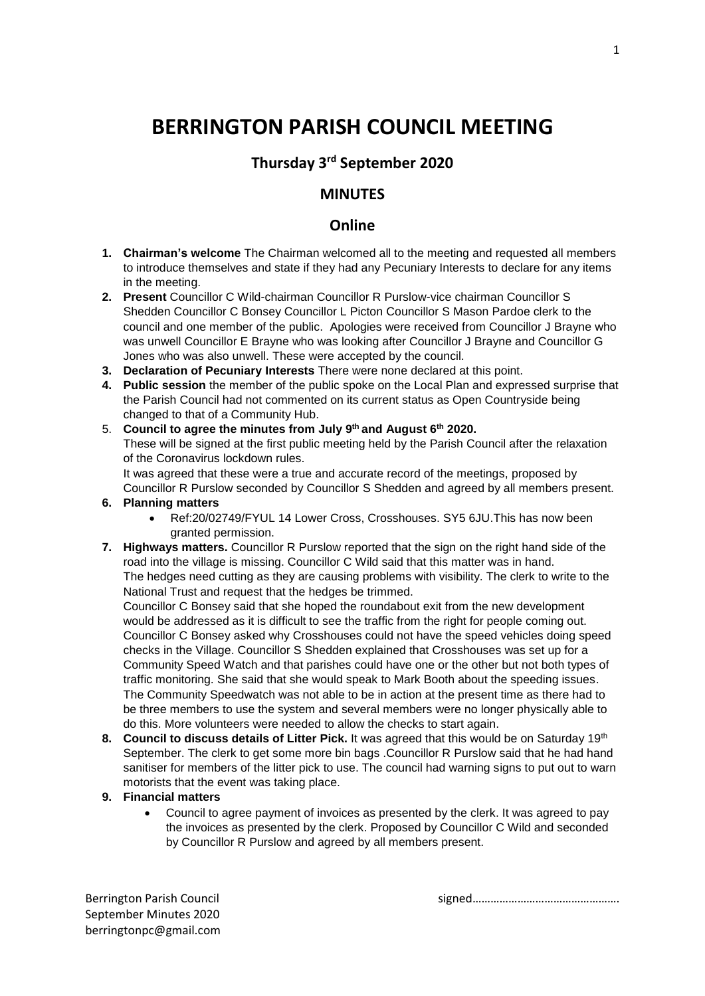## **BERRINGTON PARISH COUNCIL MEETING**

## **Thursday 3rd September 2020**

## **MINUTES**

## **Online**

- **1. Chairman's welcome** The Chairman welcomed all to the meeting and requested all members to introduce themselves and state if they had any Pecuniary Interests to declare for any items in the meeting.
- **2. Present** Councillor C Wild-chairman Councillor R Purslow-vice chairman Councillor S Shedden Councillor C Bonsey Councillor L Picton Councillor S Mason Pardoe clerk to the council and one member of the public. Apologies were received from Councillor J Brayne who was unwell Councillor E Brayne who was looking after Councillor J Brayne and Councillor G Jones who was also unwell. These were accepted by the council.
- **3. Declaration of Pecuniary Interests** There were none declared at this point.
- **4. Public session** the member of the public spoke on the Local Plan and expressed surprise that the Parish Council had not commented on its current status as Open Countryside being changed to that of a Community Hub.
- 5. **Council to agree the minutes from July 9th and August 6th 2020.** These will be signed at the first public meeting held by the Parish Council after the relaxation of the Coronavirus lockdown rules.

It was agreed that these were a true and accurate record of the meetings, proposed by Councillor R Purslow seconded by Councillor S Shedden and agreed by all members present.

- **6. Planning matters**
	- Ref:20/02749/FYUL 14 Lower Cross, Crosshouses. SY5 6JU.This has now been granted permission.
- **7. Highways matters.** Councillor R Purslow reported that the sign on the right hand side of the road into the village is missing. Councillor C Wild said that this matter was in hand. The hedges need cutting as they are causing problems with visibility. The clerk to write to the National Trust and request that the hedges be trimmed.

Councillor C Bonsey said that she hoped the roundabout exit from the new development would be addressed as it is difficult to see the traffic from the right for people coming out. Councillor C Bonsey asked why Crosshouses could not have the speed vehicles doing speed checks in the Village. Councillor S Shedden explained that Crosshouses was set up for a Community Speed Watch and that parishes could have one or the other but not both types of traffic monitoring. She said that she would speak to Mark Booth about the speeding issues. The Community Speedwatch was not able to be in action at the present time as there had to be three members to use the system and several members were no longer physically able to do this. More volunteers were needed to allow the checks to start again.

- **8. Council to discuss details of Litter Pick.** It was agreed that this would be on Saturday 19th September. The clerk to get some more bin bags .Councillor R Purslow said that he had hand sanitiser for members of the litter pick to use. The council had warning signs to put out to warn motorists that the event was taking place.
- **9. Financial matters**
	- Council to agree payment of invoices as presented by the clerk. It was agreed to pay the invoices as presented by the clerk. Proposed by Councillor C Wild and seconded by Councillor R Purslow and agreed by all members present.

Berrington Parish Council and the signed signed methods of signed signed methods in the signed method is a signed method of  $\mathbb{R}^n$